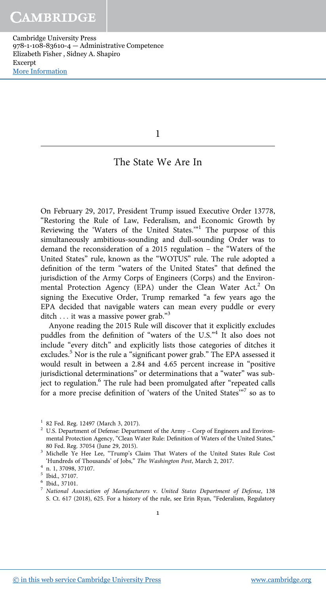1

# The State We Are In

On February 29, 2017, President Trump issued Executive Order 13778, "Restoring the Rule of Law, Federalism, and Economic Growth by Reviewing the 'Waters of the United States."<sup>1</sup> The purpose of this simultaneously ambitious-sounding and dull-sounding Order was to demand the reconsideration of a 2015 regulation – the "Waters of the United States" rule, known as the "WOTUS" rule. The rule adopted a definition of the term "waters of the United States" that defined the jurisdiction of the Army Corps of Engineers (Corps) and the Environmental Protection Agency (EPA) under the Clean Water Act.<sup>2</sup> On signing the Executive Order, Trump remarked "a few years ago the EPA decided that navigable waters can mean every puddle or every ditch ... it was a massive power grab."<sup>3</sup>

Anyone reading the 2015 Rule will discover that it explicitly excludes puddles from the definition of "waters of the U.S."<sup>4</sup> It also does not include "every ditch" and explicitly lists those categories of ditches it excludes.<sup>5</sup> Nor is the rule a "significant power grab." The EPA assessed it would result in between a 2.84 and 4.65 percent increase in "positive jurisdictional determinations" or determinations that a "water" was sub-.<br>ject to regulation.<sup>6</sup> The rule had been promulgated after "repeated calls for a more precise definition of 'waters of the United States'<sup>37</sup> so as to

<sup>1</sup> 82 Fed. Reg. 12497 (March 3, 2017).

<sup>&</sup>lt;sup>2</sup> U.S. Department of Defense: Department of the Army – Corp of Engineers and Environmental Protection Agency, "Clean Water Rule: Definition of Waters of the United States," 80 Fed. Reg. 37054 (June 29, 2015).

<sup>&</sup>lt;sup>3</sup> Michelle Ye Hee Lee, "Trump's Claim That Waters of the United States Rule Cost 'Hundreds of Thousands' of Jobs," *The Washington Post*, March 2, 2017.

<sup>4</sup> n. 1, 37098, 37107.

<sup>5</sup> Ibid., 37107.

<sup>6</sup> Ibid., 37101.

<sup>7</sup> *National Association of Manufacturers* v. *United States Department of Defense*, 138 S. Ct. 617 (2018), 625. For a history of the rule, see Erin Ryan, "Federalism, Regulatory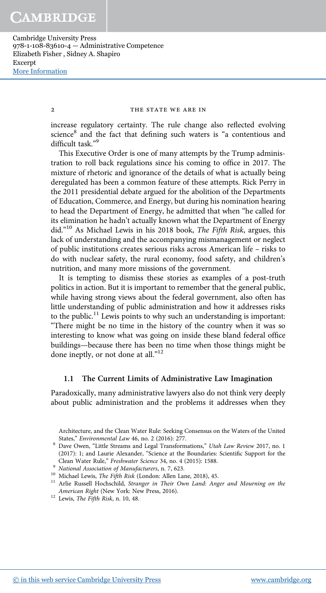# 2 THE STATE WE ARE IN

increase regulatory certainty. The rule change also reflected evolving science<sup>8</sup> and the fact that defining such waters is "a contentious and difficult task." 9

This Executive Order is one of many attempts by the Trump administration to roll back regulations since his coming to office in 2017. The mixture of rhetoric and ignorance of the details of what is actually being deregulated has been a common feature of these attempts. Rick Perry in the 2011 presidential debate argued for the abolition of the Departments of Education, Commerce, and Energy, but during his nomination hearing to head the Department of Energy, he admitted that when "he called for its elimination he hadn't actually known what the Department of Energy did." <sup>10</sup> As Michael Lewis in his 2018 book, *The Fifth Risk*, argues, this lack of understanding and the accompanying mismanagement or neglect of public institutions creates serious risks across American life – risks to do with nuclear safety, the rural economy, food safety, and children's nutrition, and many more missions of the government.

It is tempting to dismiss these stories as examples of a post-truth politics in action. But it is important to remember that the general public, while having strong views about the federal government, also often has little understanding of public administration and how it addresses risks to the public.<sup>11</sup> Lewis points to why such an understanding is important: "There might be no time in the history of the country when it was so interesting to know what was going on inside these bland federal office buildings—because there has been no time when those things might be done ineptly, or not done at all."<sup>12</sup>

# **1.1 The Current Limits of Administrative Law Imagination**

Paradoxically, many administrative lawyers also do not think very deeply about public administration and the problems it addresses when they

Architecture, and the Clean Water Rule: Seeking Consensus on the Waters of the United States," *Environmental Law* 46, no. 2 (2016): 277.

<sup>8</sup> Dave Owen, "Little Streams and Legal Transformations," *Utah Law Review* 2017, no. 1 (2017): 1; and Laurie Alexander, "Science at the Boundaries: Scientific Support for the Clean Water Rule," *Freshwater Science* 34, no. 4 (2015): 1588.

<sup>9</sup> *National Association of Manufacturers*, n. 7, 623.

<sup>&</sup>lt;sup>10</sup> Michael Lewis, *The Fifth Risk* (London: Allen Lane, 2018), 45.

<sup>11</sup> Arlie Russell Hochschild, *Stranger in Their Own Land: Anger and Mourning on the American Right* (New York: New Press, 2016).

<sup>12</sup> Lewis, *The Fifth Risk*, n. 10, 48.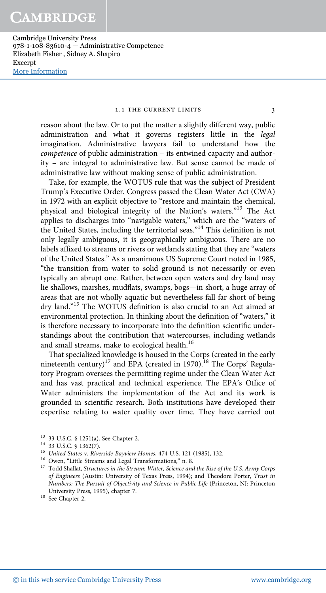# 1.1 THE CURRENT LIMITS 3

reason about the law. Or to put the matter a slightly different way, public administration and what it governs registers little in the *legal* imagination. Administrative lawyers fail to understand how the *competence* of public administration – its entwined capacity and authority – are integral to administrative law. But sense cannot be made of administrative law without making sense of public administration.

Take, for example, the WOTUS rule that was the subject of President Trump's Executive Order. Congress passed the Clean Water Act (CWA) in 1972 with an explicit objective to "restore and maintain the chemical, physical and biological integrity of the Nation's waters."<sup>13</sup> The Act applies to discharges into "navigable waters," which are the "waters of the United States, including the territorial seas."<sup>14</sup> This definition is not only legally ambiguous, it is geographically ambiguous. There are no labels affixed to streams or rivers or wetlands stating that they are "waters of the United States." As a unanimous US Supreme Court noted in 1985, "the transition from water to solid ground is not necessarily or even typically an abrupt one. Rather, between open waters and dry land may lie shallows, marshes, mudflats, swamps, bogs—in short, a huge array of areas that are not wholly aquatic but nevertheless fall far short of being dry land." <sup>15</sup> The WOTUS definition is also crucial to an Act aimed at environmental protection. In thinking about the definition of "waters," it is therefore necessary to incorporate into the definition scientific understandings about the contribution that watercourses, including wetlands and small streams, make to ecological health.<sup>16</sup>

That specialized knowledge is housed in the Corps (created in the early nineteenth century)<sup>17</sup> and EPA (created in 1970).<sup>18</sup> The Corps' Regulatory Program oversees the permitting regime under the Clean Water Act and has vast practical and technical experience. The EPA's Office of Water administers the implementation of the Act and its work is grounded in scientific research. Both institutions have developed their expertise relating to water quality over time. They have carried out

<sup>13</sup> 33 U.S.C. § 1251(a). See Chapter 2.

<sup>14</sup> 33 U.S.C. § 1362(7).

<sup>15</sup> *United States* v. *Riverside Bayview Homes*, 474 U.S. 121 (1985), 132.

<sup>&</sup>lt;sup>16</sup> Owen, "Little Streams and Legal Transformations," n. 8.

<sup>&</sup>lt;sup>17</sup> Todd Shallat, Structures in the Stream: Water, Science and the Rise of the U.S. Army Corps *of Engineers* (Austin: University of Texas Press, 1994); and Theodore Porter, *Trust in Numbers: The Pursuit of Objectivity and Science in Public Life* (Princeton, NJ: Princeton University Press, 1995), chapter 7.

<sup>&</sup>lt;sup>18</sup> See Chapter 2.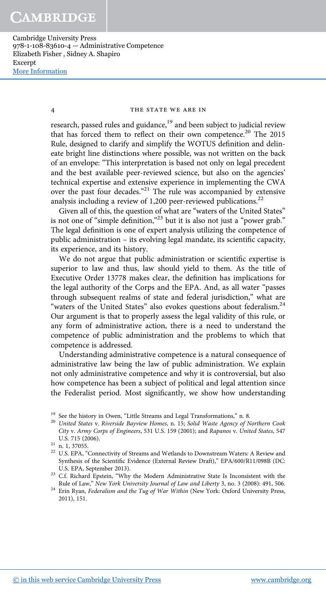# 4 THE STATE WE ARE IN

research, passed rules and guidance,<sup>19</sup> and been subject to judicial review that has forced them to reflect on their own competence.<sup>20</sup> The 2015 Rule, designed to clarify and simplify the WOTUS definition and delineate bright line distinctions where possible, was not written on the back of an envelope: "This interpretation is based not only on legal precedent and the best available peer-reviewed science, but also on the agencies' technical expertise and extensive experience in implementing the CWA over the past four decades."<sup>21</sup> The rule was accompanied by extensive analysis including a review of 1,200 peer-reviewed publications.<sup>22</sup>

Given all of this, the question of what are "waters of the United States" is not one of "simple definition,"<sup>23</sup> but it is also not just a "power grab." The legal definition is one of expert analysis utilizing the competence of public administration – its evolving legal mandate, its scientific capacity, its experience, and its history.

We do not argue that public administration or scientific expertise is superior to law and thus, law should yield to them. As the title of Executive Order 13778 makes clear, the definition has implications for the legal authority of the Corps and the EPA. And, as all water "passes through subsequent realms of state and federal jurisdiction," what are "waters of the United States" also evokes questions about federalism.<sup>24</sup> Our argument is that to properly assess the legal validity of this rule, or any form of administrative action, there is a need to understand the competence of public administration and the problems to which that competence is addressed.

Understanding administrative competence is a natural consequence of administrative law being the law of public administration. We explain not only administrative competence and why it is controversial, but also how competence has been a subject of political and legal attention since the Federalist period. Most significantly, we show how understanding

 $^{19}\,$  See the history in Owen, "Little Streams and Legal Transformations," n. 8.

<sup>20</sup> *United States* v. *Riverside Bayview Homes*, n. 15; *Solid Waste Agency of Northern Cook City* v. *Army Corps of Engineers*, 531 U.S. 159 (2001); and *Rapanos* v. *United States*, 547 U.S. 715 (2006).

<sup>&</sup>lt;sup>21</sup> n. 1, 37055.

 $^{22}$  U.S. EPA, "Connectivity of Streams and Wetlands to Downstream Waters: A Review and Synthesis of the Scientific Evidence (External Review Draft)," EPA/600/R11/098B (DC: U.S. EPA, September 2013).

<sup>23</sup> C.f. Richard Epstein, "Why the Modern Administrative State Is Inconsistent with the Rule of Law," *New York University Journal of Law and Liberty* 3, no. 3 (2008): 491, 506.

<sup>24</sup> Erin Ryan, *Federalism and the Tug of War Within* (New York: Oxford University Press, 2011), 151.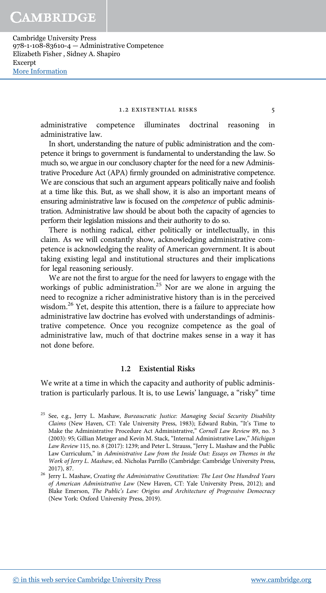#### 1.2 EXISTENTIAL RISKS 5

administrative competence illuminates doctrinal reasoning in administrative law.

In short, understanding the nature of public administration and the competence it brings to government is fundamental to understanding the law. So much so, we argue in our conclusory chapter for the need for a new Administrative Procedure Act (APA) firmly grounded on administrative competence. We are conscious that such an argument appears politically naive and foolish at a time like this. But, as we shall show, it is also an important means of ensuring administrative law is focused on the *competence* of public administration. Administrative law should be about both the capacity of agencies to perform their legislation missions and their authority to do so.

There is nothing radical, either politically or intellectually, in this claim. As we will constantly show, acknowledging administrative competence is acknowledging the reality of American government. It is about taking existing legal and institutional structures and their implications for legal reasoning seriously.

We are not the first to argue for the need for lawyers to engage with the workings of public administration.<sup>25</sup> Nor are we alone in arguing the need to recognize a richer administrative history than is in the perceived wisdom.<sup>26</sup> Yet, despite this attention, there is a failure to appreciate how administrative law doctrine has evolved with understandings of administrative competence. Once you recognize competence as the goal of administrative law, much of that doctrine makes sense in a way it has not done before.

# **1.2 Existential Risks**

We write at a time in which the capacity and authority of public administration is particularly parlous. It is, to use Lewis' language, a "risky" time

<sup>25</sup> See, e.g., Jerry L. Mashaw, *Bureaucratic Justice: Managing Social Security Disability Claims* (New Haven, CT: Yale University Press, 1983); Edward Rubin, "It's Time to Make the Administrative Procedure Act Administrative," *Cornell Law Review* 89, no. 3 (2003): 95; Gillian Metzger and Kevin M. Stack, "Internal Administrative Law," *Michigan Law Review* 115, no. 8 (2017): 1239; and Peter L. Strauss, "Jerry L. Mashaw and the Public Law Curriculum," in Administrative Law from the Inside Out: Essays on Themes in the *Work of Jerry L. Mashaw*, ed. Nicholas Parrillo (Cambridge: Cambridge University Press, 2017), 87.

<sup>26</sup> Jerry L. Mashaw, *Creating the Administrative Constitution: The Lost One Hundred Years of American Administrative Law* (New Haven, CT: Yale University Press, 2012); and Blake Emerson, *The Public*'*s Law: Origins and Architecture of Progressive Democracy* (New York: Oxford University Press, 2019).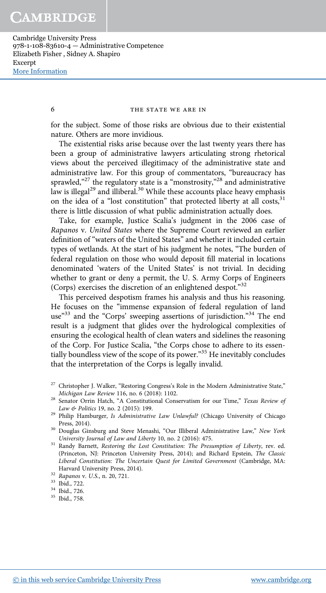#### 6 THE STATE WE ARE IN

for the subject. Some of those risks are obvious due to their existential nature. Others are more invidious.

The existential risks arise because over the last twenty years there has been a group of administrative lawyers articulating strong rhetorical views about the perceived illegitimacy of the administrative state and administrative law. For this group of commentators, "bureaucracy has sprawled,"<sup>27</sup> the regulatory state is a "monstrosity,"<sup>28</sup> and administrative law is illegal<sup>29</sup> and illiberal.<sup>30</sup> While these accounts place heavy emphasis on the idea of a "lost constitution" that protected liberty at all costs,<sup>31</sup> there is little discussion of what public administration actually does.

Take, for example, Justice Scalia's judgment in the 2006 case of *Rapanos* v. *United States* where the Supreme Court reviewed an earlier definition of "waters of the United States" and whether it included certain types of wetlands. At the start of his judgment he notes, "The burden of federal regulation on those who would deposit fill material in locations denominated 'waters of the United States' is not trivial. In deciding whether to grant or deny a permit, the U. S. Army Corps of Engineers (Corps) exercises the discretion of an enlightened despot." 32

This perceived despotism frames his analysis and thus his reasoning. He focuses on the "immense expansion of federal regulation of land use<sup>33</sup> and the "Corps' sweeping assertions of jurisdiction."<sup>34</sup> The end result is a judgment that glides over the hydrological complexities of ensuring the ecological health of clean waters and sidelines the reasoning of the Corp. For Justice Scalia, "the Corps chose to adhere to its essentially boundless view of the scope of its power." <sup>35</sup> He inevitably concludes that the interpretation of the Corps is legally invalid.

 $^{27}$  Christopher J. Walker, "Restoring Congress's Role in the Modern Administrative State," *Michigan Law Review* 116, no. 6 (2018): 1102.

<sup>28</sup> Senator Orrin Hatch, "A Constitutional Conservatism for our Time," *Texas Review of Law & Politics* 19, no. 2 (2015): 199.

<sup>29</sup> Philip Hamburger, *Is Administrative Law Unlawful?* (Chicago University of Chicago Press, 2014).

<sup>30</sup> Douglas Ginsburg and Steve Menashi, "Our Illiberal Administrative Law," *New York University Journal of Law and Liberty* 10, no. 2 (2016): 475.

<sup>31</sup> Randy Barnett, *Restoring the Lost Constitution: The Presumption of Liberty*, rev. ed. (Princeton, NJ: Princeton University Press, 2014); and Richard Epstein, *The Classic Liberal Constitution: The Uncertain Quest for Limited Government* (Cambridge, MA: Harvard University Press, 2014).

<sup>32</sup> *Rapanos* v. *U.S.*, n. 20, 721.

<sup>33</sup> Ibid., 722.

<sup>34</sup> Ibid., 726.

<sup>35</sup> Ibid., 758.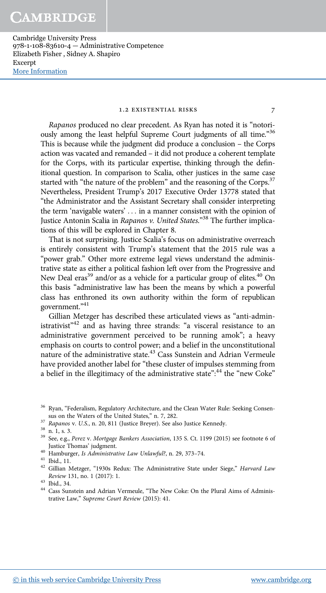# 1.2 EXISTENTIAL RISKS 7

*Rapanos* produced no clear precedent. As Ryan has noted it is "notoriously among the least helpful Supreme Court judgments of all time."36 This is because while the judgment did produce a conclusion – the Corps action was vacated and remanded – it did not produce a coherent template for the Corps, with its particular expertise, thinking through the definitional question. In comparison to Scalia, other justices in the same case started with "the nature of the problem" and the reasoning of the Corps.<sup>37</sup> Nevertheless, President Trump's 2017 Executive Order 13778 stated that "the Administrator and the Assistant Secretary shall consider interpreting the term 'navigable waters' ... in a manner consistent with the opinion of Justice Antonin Scalia in *Rapanos v. United States*." <sup>38</sup> The further implications of this will be explored in Chapter 8.

That is not surprising. Justice Scalia's focus on administrative overreach is entirely consistent with Trump's statement that the 2015 rule was a "power grab." Other more extreme legal views understand the administrative state as either a political fashion left over from the Progressive and New Deal eras<sup>39</sup> and/or as a vehicle for a particular group of elites.<sup>40</sup> On this basis "administrative law has been the means by which a powerful class has enthroned its own authority within the form of republican government." 41

Gillian Metzger has described these articulated views as "anti-administrativist<sup>242</sup> and as having three strands: "a visceral resistance to an administrative government perceived to be running amok"; a heavy emphasis on courts to control power; and a belief in the unconstitutional nature of the administrative state.<sup>43</sup> Cass Sunstein and Adrian Vermeule have provided another label for "these cluster of impulses stemming from a belief in the illegitimacy of the administrative state":<sup>44</sup> the "new Coke"

<sup>40</sup> Hamburger, *Is Administrative Law Unlawful?*, n. 29, 373–74.

<sup>&</sup>lt;sup>36</sup> Ryan, "Federalism, Regulatory Architecture, and the Clean Water Rule: Seeking Consensus on the Waters of the United States," n. 7, 282.

<sup>37</sup> *Rapanos* v. *U.S.*, n. 20, 811 (Justice Breyer). See also Justice Kennedy.

 $38 \text{ n. } 1, \text{ s. } 3.$ 

<sup>39</sup> See, e.g., *Perez* v. *Mortgage Bankers Association*, 135 S. Ct. 1199 (2015) see footnote 6 of Justice Thomas' judgment.

<sup>41</sup> Ibid., 11.

<sup>42</sup> Gillian Metzger, "1930s Redux: The Administrative State under Siege," *Harvard Law Review* 131, no. 1 (2017): 1.

<sup>43</sup> Ibid., 34.

<sup>44</sup> Cass Sunstein and Adrian Vermeule, "The New Coke: On the Plural Aims of Administrative Law," *Supreme Court Review* (2015): 41.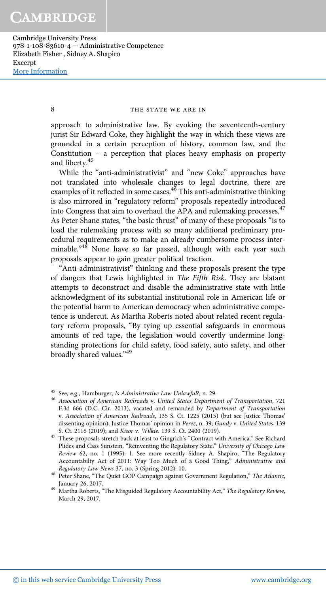8 THE STATE WE ARE IN

approach to administrative law. By evoking the seventeenth-century jurist Sir Edward Coke, they highlight the way in which these views are grounded in a certain perception of history, common law, and the Constitution – a perception that places heavy emphasis on property and liberty.<sup>45</sup>

While the "anti-administrativist" and "new Coke" approaches have not translated into wholesale changes to legal doctrine, there are examples of it reflected in some cases.<sup>46</sup> This anti-administrative thinking is also mirrored in "regulatory reform" proposals repeatedly introduced into Congress that aim to overhaul the APA and rulemaking processes.<sup>47</sup> As Peter Shane states, "the basic thrust" of many of these proposals "is to load the rulemaking process with so many additional preliminary procedural requirements as to make an already cumbersome process interminable."<sup>48</sup> None have so far passed, although with each year such proposals appear to gain greater political traction.

"Anti-administrativist" thinking and these proposals present the type of dangers that Lewis highlighted in *The Fifth Risk*. They are blatant attempts to deconstruct and disable the administrative state with little acknowledgment of its substantial institutional role in American life or the potential harm to American democracy when administrative competence is undercut. As Martha Roberts noted about related recent regulatory reform proposals, "By tying up essential safeguards in enormous amounts of red tape, the legislation would covertly undermine longstanding protections for child safety, food safety, auto safety, and other broadly shared values."<sup>49</sup>

<sup>45</sup> See, e.g., Hamburger, *Is Administrative Law Unlawful?*, n. 29.

<sup>46</sup> *Association of American Railroads* v. *United States Department of Transportation*, 721 F.3d 666 (D.C. Cir. 2013), vacated and remanded by *Department of Transportation* v. *Association of American Railroads*, 135 S. Ct. 1225 (2015) (but see Justice Thomas' dissenting opinion); Justice Thomas' opinion in *Perez*, n. 39; *Gundy* v. *United States*, 139 S. Ct. 2116 (2019); and *Kisor* v. *Wilkie*. 139 S. Ct. 2400 (2019).

<sup>47</sup> These proposals stretch back at least to Gingrich's "Contract with America." See Richard Plides and Cass Sunstein, "Reinventing the Regulatory State," *University of Chicago Law Review* 62, no. 1 (1995): 1. See more recently Sidney A. Shapiro, "The Regulatory Accountabilty Act of 2011: Way Too Much of a Good Thing," *Administrative and Regulatory Law News* 37, no. 3 (Spring 2012): 10.

<sup>48</sup> Peter Shane, "The Quiet GOP Campaign against Government Regulation," *The Atlantic*, January 26, 2017.

<sup>49</sup> Martha Roberts, "The Misguided Regulatory Accountability Act," *The Regulatory Review*, March 29, 2017.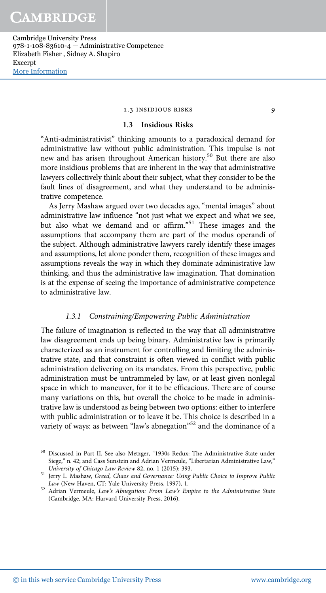# 1.3 INSIDIOUS RISKS

# **1.3 Insidious Risks**

"Anti-administrativist" thinking amounts to a paradoxical demand for administrative law without public administration. This impulse is not new and has arisen throughout American history.<sup>50</sup> But there are also more insidious problems that are inherent in the way that administrative lawyers collectively think about their subject, what they consider to be the fault lines of disagreement, and what they understand to be administrative competence.

As Jerry Mashaw argued over two decades ago, "mental images" about administrative law influence "not just what we expect and what we see, but also what we demand and or affirm." <sup>51</sup> These images and the assumptions that accompany them are part of the modus operandi of the subject. Although administrative lawyers rarely identify these images and assumptions, let alone ponder them, recognition of these images and assumptions reveals the way in which they dominate administrative law thinking, and thus the administrative law imagination. That domination is at the expense of seeing the importance of administrative competence to administrative law.

# *1.3.1 Constraining/Empowering Public Administration*

The failure of imagination is reflected in the way that all administrative law disagreement ends up being binary. Administrative law is primarily characterized as an instrument for controlling and limiting the administrative state, and that constraint is often viewed in conflict with public administration delivering on its mandates. From this perspective, public administration must be untrammeled by law, or at least given nonlegal space in which to maneuver, for it to be efficacious. There are of course many variations on this, but overall the choice to be made in administrative law is understood as being between two options: either to interfere with public administration or to leave it be. This choice is described in a variety of ways: as between "law's abnegation"<sup>52</sup> and the dominance of a

<sup>50</sup> Discussed in Part II. See also Metzger, "1930s Redux: The Administrative State under Siege," n. 42; and Cass Sunstein and Adrian Vermeule, "Libertarian Administrative Law," *University of Chicago Law Review* 82, no. 1 (2015): 393.

<sup>51</sup> Jerry L. Mashaw, *Greed, Chaos and Governance: Using Public Choice to Improve Public Law* (New Haven, CT: Yale University Press, 1997), 1.

<sup>52</sup> Adrian Vermeule, *Law*'*s Abnegation: From Law*'*s Empire to the Administrative State* (Cambridge, MA: Harvard University Press, 2016).